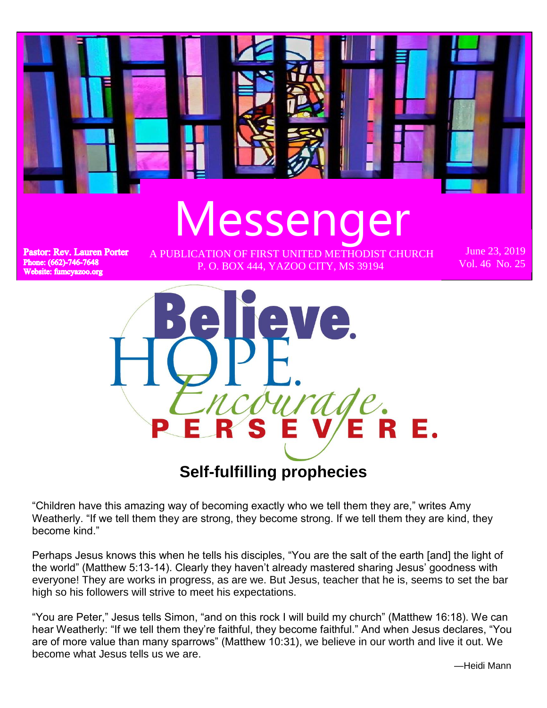

**Self-fulfilling prophecies**

"Children have this amazing way of becoming exactly who we tell them they are," writes Amy Weatherly. "If we tell them they are strong, they become strong. If we tell them they are kind, they become kind."

Perhaps Jesus knows this when he tells his disciples, "You are the salt of the earth [and] the light of the world" (Matthew 5:13-14). Clearly they haven't already mastered sharing Jesus' goodness with everyone! They are works in progress, as are we. But Jesus, teacher that he is, seems to set the bar high so his followers will strive to meet his expectations.

"You are Peter," Jesus tells Simon, "and on this rock I will build my church" (Matthew 16:18). We can hear Weatherly: "If we tell them they're faithful, they become faithful." And when Jesus declares, "You are of more value than many sparrows" (Matthew 10:31), we believe in our worth and live it out. We become what Jesus tells us we are.

—Heidi Mann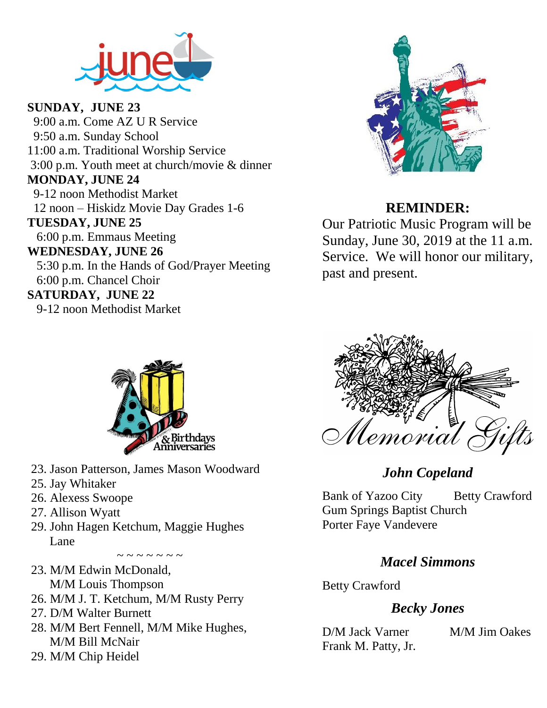

**SUNDAY, JUNE 23** 9:00 a.m. Come AZ U R Service 9:50 a.m. Sunday School 11:00 a.m. Traditional Worship Service 3:00 p.m. Youth meet at church/movie & dinner **MONDAY, JUNE 24** 9-12 noon Methodist Market 12 noon – Hiskidz Movie Day Grades 1-6 **TUESDAY, JUNE 25** 6:00 p.m. Emmaus Meeting **WEDNESDAY, JUNE 26** 5:30 p.m. In the Hands of God/Prayer Meeting 6:00 p.m. Chancel Choir **SATURDAY, JUNE 22**

9-12 noon Methodist Market



### **REMINDER:**

Our Patriotic Music Program will be Sunday, June 30, 2019 at the 11 a.m. Service. We will honor our military, past and present.



- 23. Jason Patterson, James Mason Woodward
- 25. Jay Whitaker
- 26. Alexess Swoope
- 27. Allison Wyatt
- 29. John Hagen Ketchum, Maggie Hughes Lane

~ ~ ~ ~ ~ ~ ~

- 23. M/M Edwin McDonald, M/M Louis Thompson
- 26. M/M J. T. Ketchum, M/M Rusty Perry
- 27. D/M Walter Burnett
- 28. M/M Bert Fennell, M/M Mike Hughes, M/M Bill McNair
- 29. M/M Chip Heidel



## *John Copeland*

Bank of Yazoo City Betty Crawford Gum Springs Baptist Church Porter Faye Vandevere

## *Macel Simmons*

Betty Crawford

## *Becky Jones*

D/M Jack Varner M/M Jim Oakes Frank M. Patty, Jr.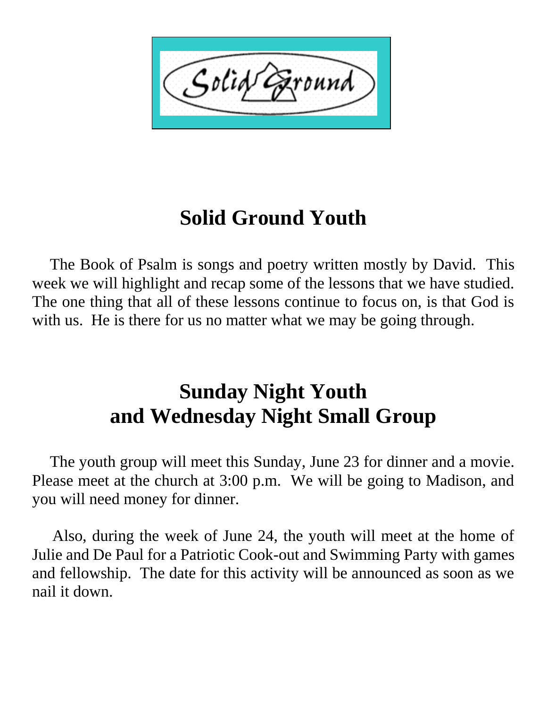Solid

## **Solid Ground Youth**

 The Book of Psalm is songs and poetry written mostly by David. This week we will highlight and recap some of the lessons that we have studied. The one thing that all of these lessons continue to focus on, is that God is with us. He is there for us no matter what we may be going through.

## **Sunday Night Youth and Wednesday Night Small Group**

 The youth group will meet this Sunday, June 23 for dinner and a movie. Please meet at the church at 3:00 p.m. We will be going to Madison, and you will need money for dinner.

 Also, during the week of June 24, the youth will meet at the home of Julie and De Paul for a Patriotic Cook-out and Swimming Party with games and fellowship. The date for this activity will be announced as soon as we nail it down.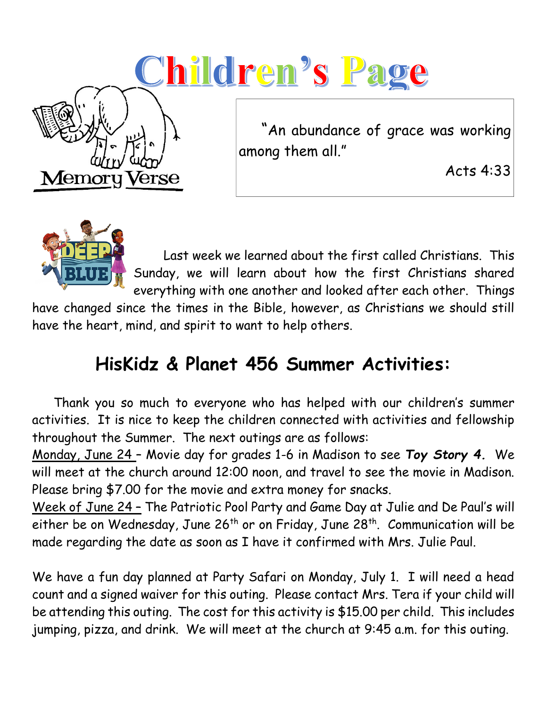# <u>Children's Page</u> "An abundance of grace was working among them all." Acts 4:33Memory Verse



 Last week we learned about the first called Christians. This Sunday, we will learn about how the first Christians shared everything with one another and looked after each other. Things

have changed since the times in the Bible, however, as Christians we should still have the heart, mind, and spirit to want to help others.

## **HisKidz & Planet 456 Summer Activities:**

 Thank you so much to everyone who has helped with our children's summer activities. It is nice to keep the children connected with activities and fellowship throughout the Summer. The next outings are as follows:

Monday, June 24 – Movie day for grades 1-6 in Madison to see *Toy Story 4.* We will meet at the church around 12:00 noon, and travel to see the movie in Madison. Please bring \$7.00 for the movie and extra money for snacks.

Week of June 24 – The Patriotic Pool Party and Game Day at Julie and De Paul's will either be on Wednesday, June  $26<sup>th</sup>$  or on Friday, June  $28<sup>th</sup>$ . Communication will be made regarding the date as soon as I have it confirmed with Mrs. Julie Paul.

We have a fun day planned at Party Safari on Monday, July 1. I will need a head count and a signed waiver for this outing. Please contact Mrs. Tera if your child will be attending this outing. The cost for this activity is \$15.00 per child. This includes jumping, pizza, and drink. We will meet at the church at 9:45 a.m. for this outing.